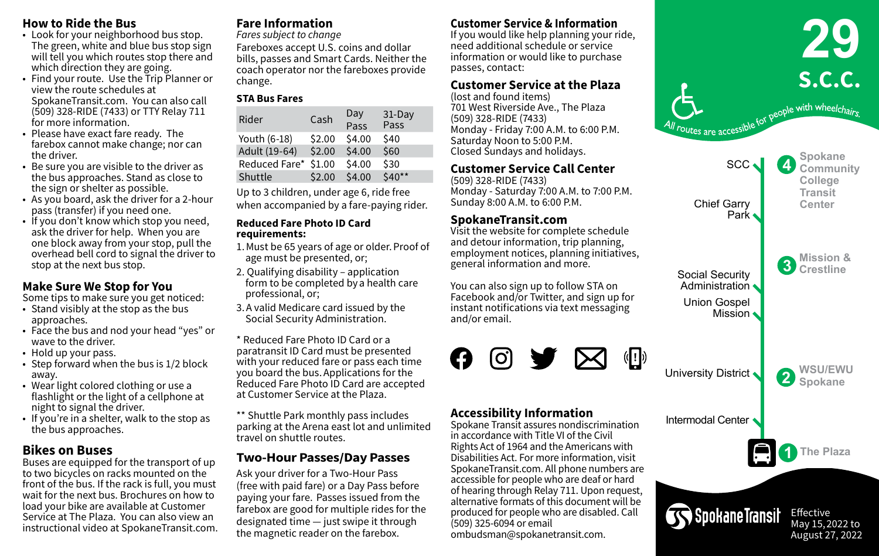#### **How to Ride the Bus**

- Look for your neighborhood bus stop. The green, white and blue bus stop sign will tell you which routes stop there and which direction they are going.
- Find your route. Use the Trip Planner or view the route schedules at SpokaneTransit.com. You can also call (509) 328-RIDE (7433) or TTY Relay 711 for more information.
- Please have exact fare ready. The farebox cannot make change; nor can the driver.
- Be sure you are visible to the driver as the bus approaches. Stand as close to the sign or shelter as possible.
- As you board, ask the driver for a 2-hour pass (transfer) if you need one.
- If you don't know which stop you need, ask the driver for help. When you are one block away from your stop, pull the overhead bell cord to signal the driver to stop at the next bus stop.

# **Make Sure We Stop for You**

Some tips to make sure you get noticed:

- Stand visibly at the stop as the bus approaches.
- Face the bus and nod your head "yes" or wave to the driver.
- Hold up your pass.
- Step forward when the bus is 1/2 block away.
- Wear light colored clothing or use a flashlight or the light of a cellphone at night to signal the driver.
- If you're in a shelter, walk to the stop as the bus approaches.

# **Bikes on Buses**

Buses are equipped for the transport of up to two bicycles on racks mounted on the front of the bus. If the rack is full, you must wait for the next bus. Brochures on how to load your bike are available at Customer Service at The Plaza. You can also view an instructional video at SpokaneTransit.com.

# **Fare Information**

*Fares subject to change* Fareboxes accept U.S. coins and dollar bills, passes and Smart Cards. Neither the coach operator nor the fareboxes provide change.

## **STA Bus Fares**

| Rider         | Cash   | Day<br>Pass | $31$ -Day<br>Pass |
|---------------|--------|-------------|-------------------|
| Youth (6-18)  | \$2.00 | \$4.00      | \$40              |
| Adult (19-64) | \$2.00 | \$4.00      | \$60              |
| Reduced Fare* | \$1.00 | \$4.00      | \$30              |
| Shuttle       | \$2.00 | \$4.00      | $$40**$           |

Up to 3 children, under age 6, ride free when accompanied by a fare-paying rider.

#### **Reduced Fare Photo ID Card requirements:**

- 1. Must be 65 years of age or older. Proof of age must be presented, or;
- 2. Qualifying disability application form to be completed by a health care professional, or;
- 3. A valid Medicare card issued by the Social Security Administration.
- \* Reduced Fare Photo ID Card or a paratransit ID Card must be presented with your reduced fare or pass each time you board the bus. Applications for the Reduced Fare Photo ID Card are accepted at Customer Service at the Plaza.

\*\* Shuttle Park monthly pass includes parking at the Arena east lot and unlimited travel on shuttle routes.

# **Two-Hour Passes/Day Passes**

Ask your driver for a Two-Hour Pass (free with paid fare) or a Day Pass before paying your fare.  Passes issued from the farebox are good for multiple rides for the designated time — just swipe it through the magnetic reader on the farebox.

# **Customer Service & Information**

If you would like help planning your ride, need additional schedule or service information or would like to purchase passes, contact:

## **Customer Service at the Plaza**

(lost and found items) 701 West Riverside Ave., The Plaza (509) 328-RIDE (7433) Monday - Friday 7:00 A.M. to 6:00 P.M. Saturday Noon to 5:00 P.M. Closed Sundays and holidays.

# **Customer Service Call Center**

(509) 328-RIDE (7433) Monday - Saturday 7:00 A.M. to 7:00 P.M. Sunday 8:00 A.M. to 6:00 P.M.

## **SpokaneTransit.com**

Visit the website for complete schedule and detour information, trip planning, employment notices, planning initiatives, general information and more.

You can also sign up to follow STA on Facebook and/or Twitter, and sign up for instant notifications via text messaging and/or email.



#### **Accessibility Information**

Spokane Transit assures nondiscrimination in accordance with Title VI of the Civil Rights Act of 1964 and the Americans with Disabilities Act. For more information, visit SpokaneTransit.com. All phone numbers are accessible for people who are deaf or hard of hearing through Relay 711. Upon request, alternative formats of this document will be produced for people who are disabled. Call (509) 325-6094 or email ombudsman@spokanetransit.com.